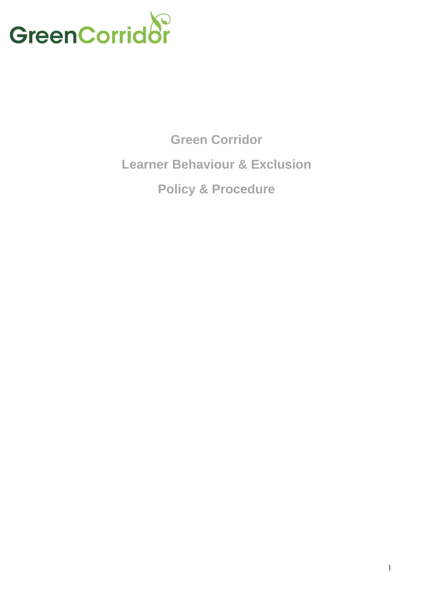

**Green Corridor Learner Behaviour & Exclusion Policy & Procedure**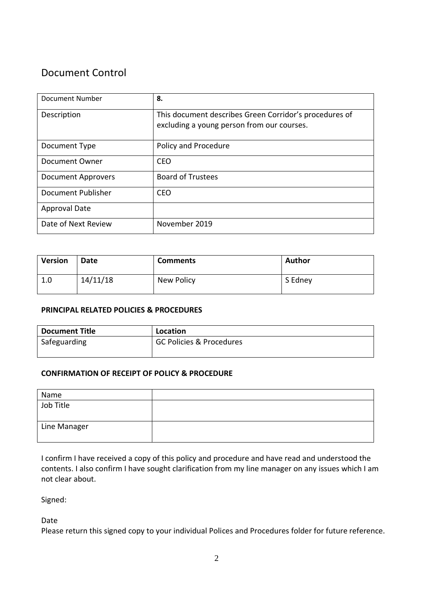# Document Control

| Document Number           | 8.                                                                                                   |
|---------------------------|------------------------------------------------------------------------------------------------------|
| Description               | This document describes Green Corridor's procedures of<br>excluding a young person from our courses. |
| Document Type             | Policy and Procedure                                                                                 |
| Document Owner            | <b>CEO</b>                                                                                           |
| <b>Document Approvers</b> | <b>Board of Trustees</b>                                                                             |
| Document Publisher        | <b>CEO</b>                                                                                           |
| <b>Approval Date</b>      |                                                                                                      |
| Date of Next Review       | November 2019                                                                                        |

| <b>Version</b> | Date     | <b>Comments</b> | <b>Author</b> |
|----------------|----------|-----------------|---------------|
| 1.0            | 14/11/18 | New Policy      | S Edney       |

#### **PRINCIPAL RELATED POLICIES & PROCEDURES**

| <b>Document Title</b> | Location                            |
|-----------------------|-------------------------------------|
| Safeguarding          | <b>GC Policies &amp; Procedures</b> |

#### **CONFIRMATION OF RECEIPT OF POLICY & PROCEDURE**

| Name         |  |
|--------------|--|
| Job Title    |  |
| Line Manager |  |

I confirm I have received a copy of this policy and procedure and have read and understood the contents. I also confirm I have sought clarification from my line manager on any issues which I am not clear about.

Signed:

Date

Please return this signed copy to your individual Polices and Procedures folder for future reference.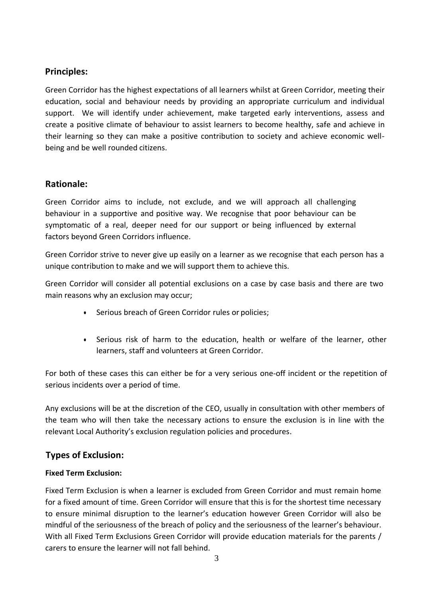# **Principles:**

Green Corridor has the highest expectations of all learners whilst at Green Corridor, meeting their education, social and behaviour needs by providing an appropriate curriculum and individual support. We will identify under achievement, make targeted early interventions, assess and create a positive climate of behaviour to assist learners to become healthy, safe and achieve in their learning so they can make a positive contribution to society and achieve economic wellbeing and be well rounded citizens.

# **Rationale:**

Green Corridor aims to include, not exclude, and we will approach all challenging behaviour in a supportive and positive way. We recognise that poor behaviour can be symptomatic of a real, deeper need for our support or being influenced by external factors beyond Green Corridors influence.

Green Corridor strive to never give up easily on a learner as we recognise that each person has a unique contribution to make and we will support them to achieve this.

Green Corridor will consider all potential exclusions on a case by case basis and there are two main reasons why an exclusion may occur;

- Serious breach of Green Corridor rules or policies;
- Serious risk of harm to the education, health or welfare of the learner, other learners, staff and volunteers at Green Corridor.

For both of these cases this can either be for a very serious one-off incident or the repetition of serious incidents over a period of time.

Any exclusions will be at the discretion of the CEO, usually in consultation with other members of the team who will then take the necessary actions to ensure the exclusion is in line with the relevant Local Authority's exclusion regulation policies and procedures.

# **Types of Exclusion:**

## **Fixed Term Exclusion:**

Fixed Term Exclusion is when a learner is excluded from Green Corridor and must remain home for a fixed amount of time. Green Corridor will ensure that this is for the shortest time necessary to ensure minimal disruption to the learner's education however Green Corridor will also be mindful of the seriousness of the breach of policy and the seriousness of the learner's behaviour. With all Fixed Term Exclusions Green Corridor will provide education materials for the parents / carers to ensure the learner will not fall behind.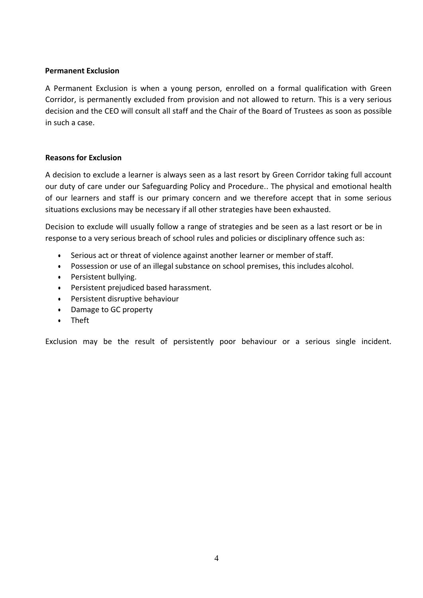## **Permanent Exclusion**

A Permanent Exclusion is when a young person, enrolled on a formal qualification with Green Corridor, is permanently excluded from provision and not allowed to return. This is a very serious decision and the CEO will consult all staff and the Chair of the Board of Trustees as soon as possible in such a case.

## **Reasons for Exclusion**

A decision to exclude a learner is always seen as a last resort by Green Corridor taking full account our duty of care under our Safeguarding Policy and Procedure.. The physical and emotional health of our learners and staff is our primary concern and we therefore accept that in some serious situations exclusions may be necessary if all other strategies have been exhausted.

Decision to exclude will usually follow a range of strategies and be seen as a last resort or be in response to a very serious breach of school rules and policies or disciplinary offence such as:

- Serious act or threat of violence against another learner or member ofstaff.
- Possession or use of an illegal substance on school premises, this includes alcohol.
- Persistent bullying.
- Persistent prejudiced based harassment.
- Persistent disruptive behaviour
- Damage to GC property
- Theft

Exclusion may be the result of persistently poor behaviour or a serious single incident.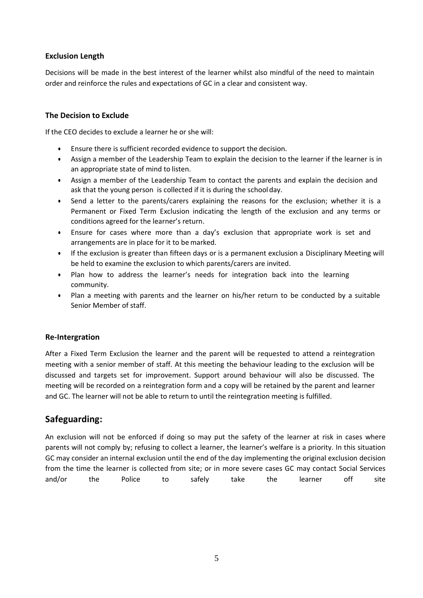## **Exclusion Length**

Decisions will be made in the best interest of the learner whilst also mindful of the need to maintain order and reinforce the rules and expectations of GC in a clear and consistent way.

## **The Decision to Exclude**

If the CEO decides to exclude a learner he or she will:

- Ensure there is sufficient recorded evidence to support the decision.
- Assign a member of the Leadership Team to explain the decision to the learner if the learner is in an appropriate state of mind to listen.
- Assign a member of the Leadership Team to contact the parents and explain the decision and ask that the young person is collected if it is during the schoolday.
- Send a letter to the parents/carers explaining the reasons for the exclusion; whether it is a Permanent or Fixed Term Exclusion indicating the length of the exclusion and any terms or conditions agreed for the learner's return.
- Ensure for cases where more than a day's exclusion that appropriate work is set and arrangements are in place for it to be marked.
- If the exclusion is greater than fifteen days or is a permanent exclusion a Disciplinary Meeting will be held to examine the exclusion to which parents/carers are invited.
- Plan how to address the learner's needs for integration back into the learning community.
- Plan a meeting with parents and the learner on his/her return to be conducted by a suitable Senior Member of staff.

#### **Re-Intergration**

After a Fixed Term Exclusion the learner and the parent will be requested to attend a reintegration meeting with a senior member of staff. At this meeting the behaviour leading to the exclusion will be discussed and targets set for improvement. Support around behaviour will also be discussed. The meeting will be recorded on a reintegration form and a copy will be retained by the parent and learner and GC. The learner will not be able to return to until the reintegration meeting is fulfilled.

# **Safeguarding:**

An exclusion will not be enforced if doing so may put the safety of the learner at risk in cases where parents will not comply by; refusing to collect a learner, the learner's welfare is a priority. In this situation GC may consider an internal exclusion until the end of the day implementing the original exclusion decision from the time the learner is collected from site; or in more severe cases GC may contact Social Services and/or the Police to safely take the learner off site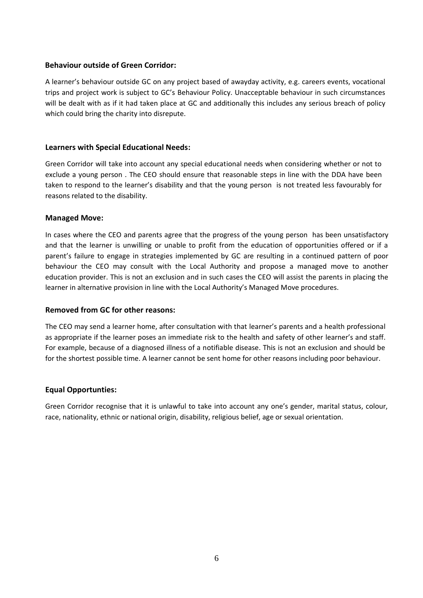#### **Behaviour outside of Green Corridor:**

A learner's behaviour outside GC on any project based of awayday activity, e.g. careers events, vocational trips and project work is subject to GC's Behaviour Policy. Unacceptable behaviour in such circumstances will be dealt with as if it had taken place at GC and additionally this includes any serious breach of policy which could bring the charity into disrepute.

#### **Learners with Special Educational Needs:**

Green Corridor will take into account any special educational needs when considering whether or not to exclude a young person . The CEO should ensure that reasonable steps in line with the DDA have been taken to respond to the learner's disability and that the young person is not treated less favourably for reasons related to the disability.

#### **Managed Move:**

In cases where the CEO and parents agree that the progress of the young person has been unsatisfactory and that the learner is unwilling or unable to profit from the education of opportunities offered or if a parent's failure to engage in strategies implemented by GC are resulting in a continued pattern of poor behaviour the CEO may consult with the Local Authority and propose a managed move to another education provider. This is not an exclusion and in such cases the CEO will assist the parents in placing the learner in alternative provision in line with the Local Authority's Managed Move procedures.

#### **Removed from GC for other reasons:**

The CEO may send a learner home, after consultation with that learner's parents and a health professional as appropriate if the learner poses an immediate risk to the health and safety of other learner's and staff. For example, because of a diagnosed illness of a notifiable disease. This is not an exclusion and should be for the shortest possible time. A learner cannot be sent home for other reasons including poor behaviour.

#### **Equal Opportunties:**

Green Corridor recognise that it is unlawful to take into account any one's gender, marital status, colour, race, nationality, ethnic or national origin, disability, religious belief, age or sexual orientation.